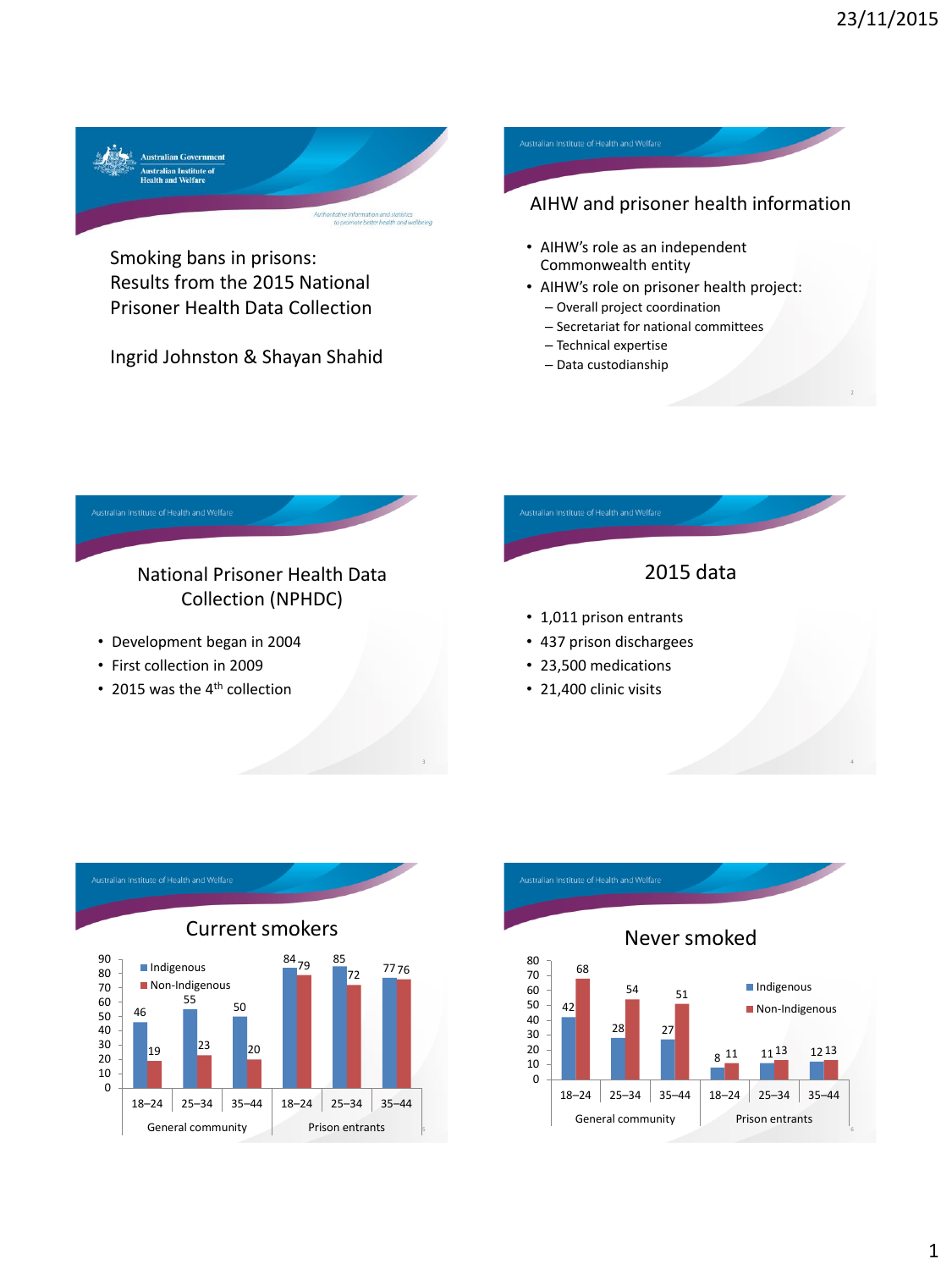